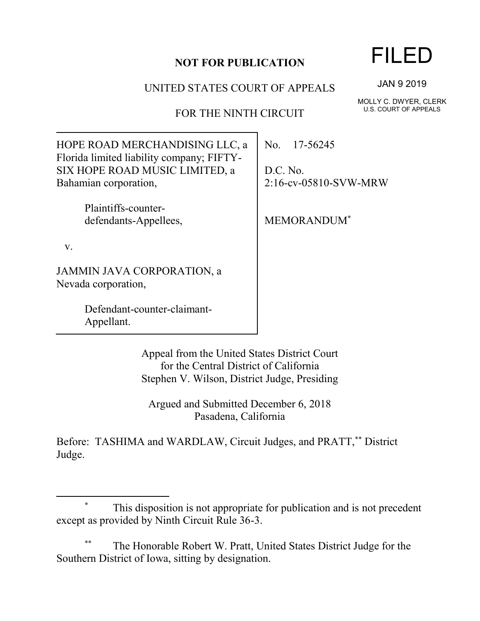## **NOT FOR PUBLICATION**

UNITED STATES COURT OF APPEALS

FOR THE NINTH CIRCUIT

JAN 9 2019

FILED

MOLLY C. DWYER, CLERK U.S. COURT OF APPEALS

| HOPE ROAD MERCHANDISING LLC, a            |  |
|-------------------------------------------|--|
| Florida limited liability company; FIFTY- |  |
| SIX HOPE ROAD MUSIC LIMITED, a            |  |
| Bahamian corporation,                     |  |
|                                           |  |

Plaintiffs-counterdefendants-Appellees,

v.

 $\overline{a}$ 

JAMMIN JAVA CORPORATION, a Nevada corporation,

> Defendant-counter-claimant-Appellant.

No. 17-56245

D.C. No. 2:16-cv-05810-SVW-MRW

MEMORANDUM\*

Appeal from the United States District Court for the Central District of California Stephen V. Wilson, District Judge, Presiding

Argued and Submitted December 6, 2018 Pasadena, California

Before: TASHIMA and WARDLAW, Circuit Judges, and PRATT,\*\* District Judge.

The Honorable Robert W. Pratt, United States District Judge for the Southern District of Iowa, sitting by designation.

<sup>\*</sup> This disposition is not appropriate for publication and is not precedent except as provided by Ninth Circuit Rule 36-3.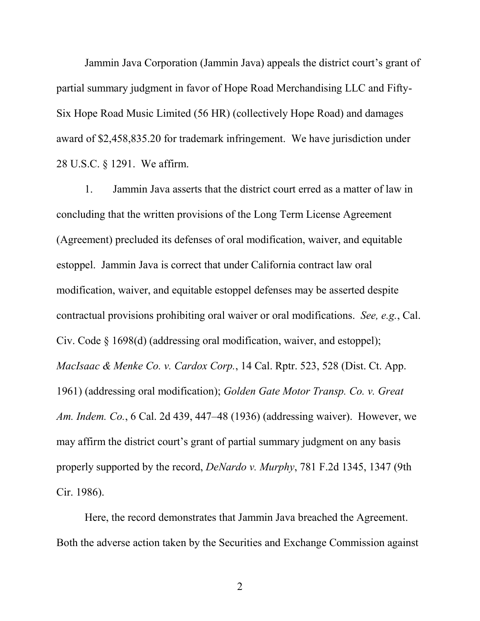Jammin Java Corporation (Jammin Java) appeals the district court's grant of partial summary judgment in favor of Hope Road Merchandising LLC and Fifty-Six Hope Road Music Limited (56 HR) (collectively Hope Road) and damages award of \$2,458,835.20 for trademark infringement. We have jurisdiction under 28 U.S.C. § 1291. We affirm.

1. Jammin Java asserts that the district court erred as a matter of law in concluding that the written provisions of the Long Term License Agreement (Agreement) precluded its defenses of oral modification, waiver, and equitable estoppel. Jammin Java is correct that under California contract law oral modification, waiver, and equitable estoppel defenses may be asserted despite contractual provisions prohibiting oral waiver or oral modifications. *See, e.g.*, Cal. Civ. Code § 1698(d) (addressing oral modification, waiver, and estoppel); *MacIsaac & Menke Co. v. Cardox Corp.*, 14 Cal. Rptr. 523, 528 (Dist. Ct. App. 1961) (addressing oral modification); *Golden Gate Motor Transp. Co. v. Great Am. Indem. Co.*, 6 Cal. 2d 439, 447–48 (1936) (addressing waiver). However, we may affirm the district court's grant of partial summary judgment on any basis properly supported by the record, *DeNardo v. Murphy*, 781 F.2d 1345, 1347 (9th Cir. 1986).

Here, the record demonstrates that Jammin Java breached the Agreement. Both the adverse action taken by the Securities and Exchange Commission against

2 a set of  $\sim$  2 a set of  $\sim$  2 a set of  $\sim$  2 a set of  $\sim$  3 a set of  $\sim$  3 a set of  $\sim$  3 a set of  $\sim$  3 a set of  $\sim$  3 a set of  $\sim$  3 a set of  $\sim$  3 a set of  $\sim$  3 a set of  $\sim$  3 a set of  $\sim$  3 a set of  $\sim$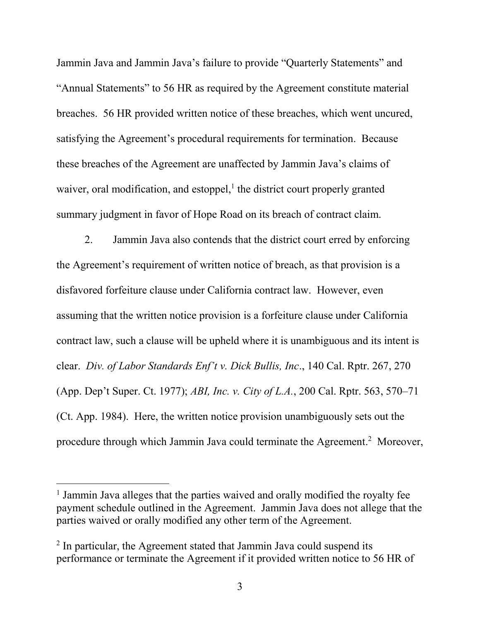Jammin Java and Jammin Java's failure to provide "Quarterly Statements" and "Annual Statements" to 56 HR as required by the Agreement constitute material breaches. 56 HR provided written notice of these breaches, which went uncured, satisfying the Agreement's procedural requirements for termination. Because these breaches of the Agreement are unaffected by Jammin Java's claims of waiver, oral modification, and estoppel,<sup>1</sup> the district court properly granted summary judgment in favor of Hope Road on its breach of contract claim.

2. Jammin Java also contends that the district court erred by enforcing the Agreement's requirement of written notice of breach, as that provision is a disfavored forfeiture clause under California contract law. However, even assuming that the written notice provision is a forfeiture clause under California contract law, such a clause will be upheld where it is unambiguous and its intent is clear. *Div. of Labor Standards Enf't v. Dick Bullis, Inc*., 140 Cal. Rptr. 267, 270 (App. Dep't Super. Ct. 1977); *ABI, Inc. v. City of L.A.*, 200 Cal. Rptr. 563, 570–71 (Ct. App. 1984). Here, the written notice provision unambiguously sets out the procedure through which Jammin Java could terminate the Agreement.<sup>2</sup> Moreover,

l

<sup>&</sup>lt;sup>1</sup> Jammin Java alleges that the parties waived and orally modified the royalty fee payment schedule outlined in the Agreement. Jammin Java does not allege that the parties waived or orally modified any other term of the Agreement.

<sup>&</sup>lt;sup>2</sup> In particular, the Agreement stated that Jammin Java could suspend its performance or terminate the Agreement if it provided written notice to 56 HR of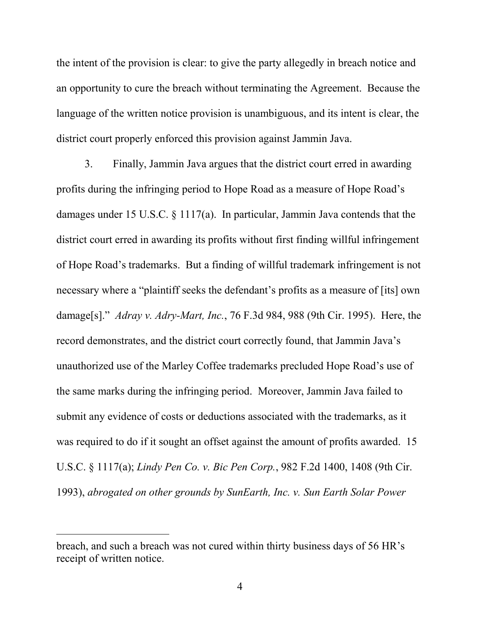the intent of the provision is clear: to give the party allegedly in breach notice and an opportunity to cure the breach without terminating the Agreement. Because the language of the written notice provision is unambiguous, and its intent is clear, the district court properly enforced this provision against Jammin Java.

3. Finally, Jammin Java argues that the district court erred in awarding profits during the infringing period to Hope Road as a measure of Hope Road's damages under 15 U.S.C. § 1117(a). In particular, Jammin Java contends that the district court erred in awarding its profits without first finding willful infringement of Hope Road's trademarks. But a finding of willful trademark infringement is not necessary where a "plaintiff seeks the defendant's profits as a measure of [its] own damage[s]." *Adray v. Adry-Mart, Inc.*, 76 F.3d 984, 988 (9th Cir. 1995). Here, the record demonstrates, and the district court correctly found, that Jammin Java's unauthorized use of the Marley Coffee trademarks precluded Hope Road's use of the same marks during the infringing period. Moreover, Jammin Java failed to submit any evidence of costs or deductions associated with the trademarks, as it was required to do if it sought an offset against the amount of profits awarded. 15 U.S.C. § 1117(a); *Lindy Pen Co. v. Bic Pen Corp.*, 982 F.2d 1400, 1408 (9th Cir. 1993), *abrogated on other grounds by SunEarth, Inc. v. Sun Earth Solar Power* 

 $\overline{a}$ 

breach, and such a breach was not cured within thirty business days of 56 HR's receipt of written notice.